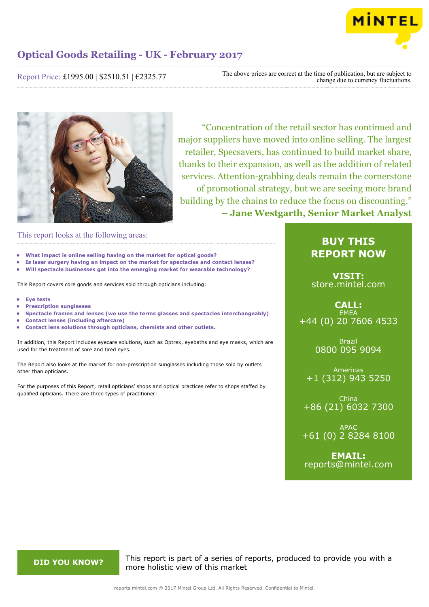

Report Price: £1995.00 | \$2510.51 | €2325.77

The above prices are correct at the time of publication, but are subject to change due to currency fluctuations.



"Concentration of the retail sector has continued and major suppliers have moved into online selling. The largest retailer, Specsavers, has continued to build market share, thanks to their expansion, as well as the addition of related services. Attention-grabbing deals remain the cornerstone of promotional strategy, but we are seeing more brand building by the chains to reduce the focus on discounting." **– Jane Westgarth, Senior Market Analyst**

This report looks at the following areas:

- **• What impact is online selling having on the market for optical goods?**
- **• Is laser surgery having an impact on the market for spectacles and contact lenses?**
- **• Will spectacle businesses get into the emerging market for wearable technology?**

This Report covers core goods and services sold through opticians including:

- **• Eye tests**
- **• Prescription sunglasses**
- **• Spectacle frames and lenses (we use the terms glasses and spectacles interchangeably)**
- **• Contact lenses (including aftercare)**
- **• Contact lens solutions through opticians, chemists and other outlets.**

In addition, this Report includes eyecare solutions, such as Optrex, eyebaths and eye masks, which are used for the treatment of sore and tired eyes.

The Report also looks at the market for non-prescription sunglasses including those sold by outlets other than opticians.

For the purposes of this Report, retail opticians' shops and optical practices refer to shops staffed by qualified opticians. There are three types of practitioner:

# **BUY THIS REPORT NOW**

**VISIT:** [store.mintel.com](http://reports.mintel.com//display/store/792411/)

# **CALL: EMEA** +44 (0) 20 7606 4533

Brazil 0800 095 9094

Americas +1 (312) 943 5250

China +86 (21) 6032 7300

APAC +61 (0) 2 8284 8100

**EMAIL:** [reports@mintel.com](mailto:reports@mintel.com)

**DID YOU KNOW?** This report is part of a series of reports, produced to provide you with a more holistic view of this market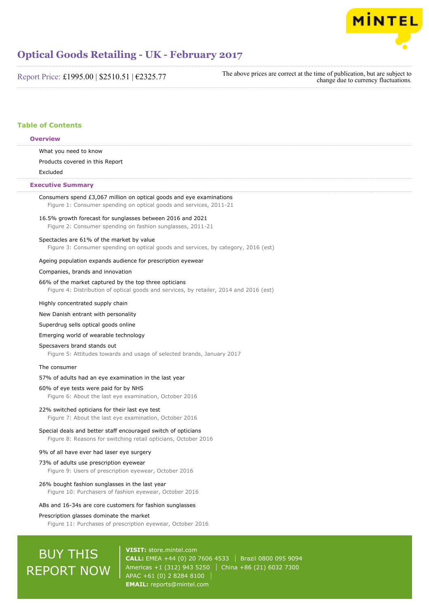

Report Price: £1995.00 | \$2510.51 | €2325.77

The above prices are correct at the time of publication, but are subject to change due to currency fluctuations.

# **Table of Contents**

# **Overview**

What you need to know

Products covered in this Report

Excluded

# **Executive Summary**

| Consumers spend £3,067 million on optical goods and eye examinations<br>Figure 1: Consumer spending on optical goods and services, 2011-21      |
|-------------------------------------------------------------------------------------------------------------------------------------------------|
| 16.5% growth forecast for sunglasses between 2016 and 2021<br>Figure 2: Consumer spending on fashion sunglasses, 2011-21                        |
| Spectacles are 61% of the market by value<br>Figure 3: Consumer spending on optical goods and services, by category, 2016 (est)                 |
| Ageing population expands audience for prescription eyewear                                                                                     |
| Companies, brands and innovation                                                                                                                |
| 66% of the market captured by the top three opticians<br>Figure 4: Distribution of optical goods and services, by retailer, 2014 and 2016 (est) |
| Highly concentrated supply chain                                                                                                                |
| New Danish entrant with personality                                                                                                             |
| Superdrug sells optical goods online                                                                                                            |
| Emerging world of wearable technology                                                                                                           |
| Specsavers brand stands out<br>Figure 5: Attitudes towards and usage of selected brands, January 2017                                           |
| The consumer                                                                                                                                    |
| 57% of adults had an eye examination in the last year                                                                                           |
| 60% of eye tests were paid for by NHS<br>Figure 6: About the last eye examination, October 2016                                                 |
| 22% switched opticians for their last eye test<br>Figure 7: About the last eye examination, October 2016                                        |
| Special deals and better staff encouraged switch of opticians<br>Figure 8: Reasons for switching retail opticians, October 2016                 |
| 9% of all have ever had laser eye surgery                                                                                                       |
| 73% of adults use prescription eyewear<br>Figure 9: Users of prescription eyewear, October 2016                                                 |
| 26% bought fashion sunglasses in the last year<br>Figure 10: Purchasers of fashion eyewear, October 2016                                        |
| ABs and 16-34s are core customers for fashion sunglasses                                                                                        |
| Prescription glasses dominate the market<br>Figure 11: Purchases of prescription eyewear, October 2016                                          |
|                                                                                                                                                 |

# **BUY THIS** REPORT NOW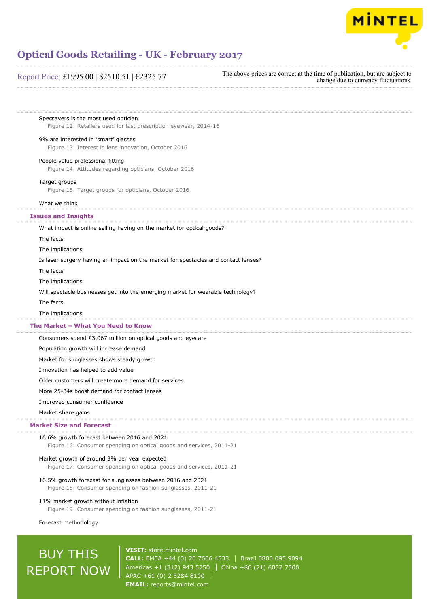

# Report Price: £1995.00 | \$2510.51 | €2325.77

The above prices are correct at the time of publication, but are subject to change due to currency fluctuations.

Specsavers is the most used optician Figure 12: Retailers used for last prescription eyewear, 2014-16

# 9% are interested in 'smart' glasses

Figure 13: Interest in lens innovation, October 2016

# People value professional fitting

Figure 14: Attitudes regarding opticians, October 2016

#### Target groups

Figure 15: Target groups for opticians, October 2016

#### What we think

# **Issues and Insights**

What impact is online selling having on the market for optical goods?

The facts

The implications

Is laser surgery having an impact on the market for spectacles and contact lenses?

The facts

The implications

Will spectacle businesses get into the emerging market for wearable technology?

The facts

The implications

# **The Market – What You Need to Know**

Consumers spend £3,067 million on optical goods and eyecare

Population growth will increase demand

Market for sunglasses shows steady growth

Innovation has helped to add value

Older customers will create more demand for services

More 25-34s boost demand for contact lenses

### Improved consumer confidence

Market share gains

# **Market Size and Forecast**

# 16.6% growth forecast between 2016 and 2021

Figure 16: Consumer spending on optical goods and services, 2011-21

#### Market growth of around 3% per year expected

Figure 17: Consumer spending on optical goods and services, 2011-21

# 16.5% growth forecast for sunglasses between 2016 and 2021

Figure 18: Consumer spending on fashion sunglasses, 2011-21

# 11% market growth without inflation

Figure 19: Consumer spending on fashion sunglasses, 2011-21

### Forecast methodology

# BUY THIS REPORT NOW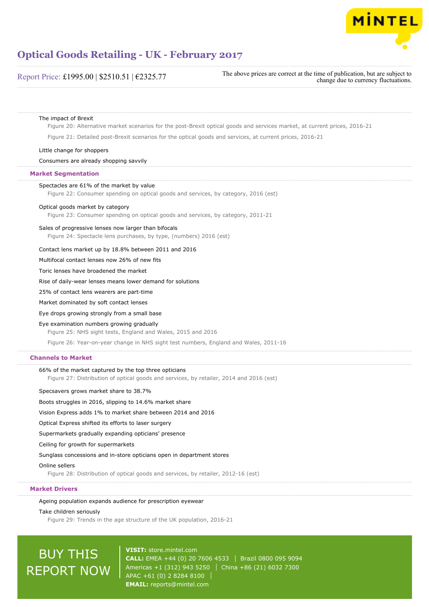

# Report Price: £1995.00 | \$2510.51 | €2325.77

The above prices are correct at the time of publication, but are subject to change due to currency fluctuations.

## The impact of Brexit

Figure 20: Alternative market scenarios for the post-Brexit optical goods and services market, at current prices, 2016-21

Figure 21: Detailed post-Brexit scenarios for the optical goods and services, at current prices, 2016-21

Little change for shoppers

# Consumers are already shopping savvily

# **Market Segmentation**

# Spectacles are 61% of the market by value

Figure 22: Consumer spending on optical goods and services, by category, 2016 (est)

#### Optical goods market by category

Figure 23: Consumer spending on optical goods and services, by category, 2011-21

### Sales of progressive lenses now larger than bifocals

Figure 24: Spectacle lens purchases, by type, (numbers) 2016 (est)

# Contact lens market up by 18.8% between 2011 and 2016

Multifocal contact lenses now 26% of new fits

Toric lenses have broadened the market

Rise of daily-wear lenses means lower demand for solutions

25% of contact lens wearers are part-time

Market dominated by soft contact lenses

Eye drops growing strongly from a small base

#### Eye examination numbers growing gradually

Figure 25: NHS sight tests, England and Wales, 2015 and 2016

Figure 26: Year-on-year change in NHS sight test numbers, England and Wales, 2011-16

# **Channels to Market**

# 66% of the market captured by the top three opticians

Figure 27: Distribution of optical goods and services, by retailer, 2014 and 2016 (est)

#### Specsavers grows market share to 38.7%

Boots struggles in 2016, slipping to 14.6% market share

Vision Express adds 1% to market share between 2014 and 2016

Optical Express shifted its efforts to laser surgery

Supermarkets gradually expanding opticians' presence

Ceiling for growth for supermarkets

# Sunglass concessions and in-store opticians open in department stores

Online sellers

Figure 28: Distribution of optical goods and services, by retailer, 2012-16 (est)

# **Market Drivers**

Ageing population expands audience for prescription eyewear

## Take children seriously

Figure 29: Trends in the age structure of the UK population, 2016-21

# BUY THIS REPORT NOW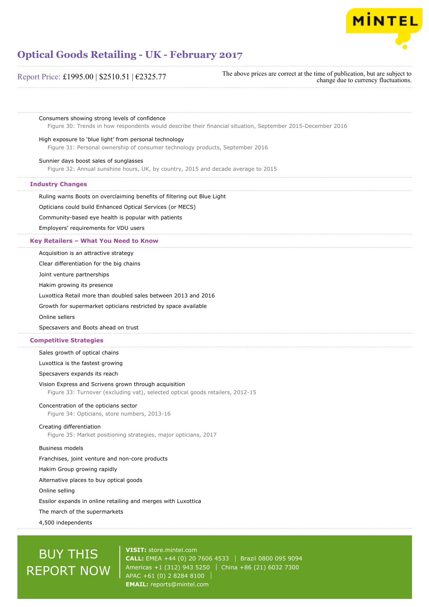

Report Price: £1995.00 | \$2510.51 | €2325.77

The above prices are correct at the time of publication, but are subject to change due to currency fluctuations.

Consumers showing strong levels of confidence

Figure 30: Trends in how respondents would describe their financial situation, September 2015-December 2016

# High exposure to 'blue light' from personal technology

Figure 31: Personal ownership of consumer technology products, September 2016

# Sunnier days boost sales of sunglasses

Figure 32: Annual sunshine hours, UK, by country, 2015 and decade average to 2015

# **Industry Changes**

Ruling warns Boots on overclaiming benefits of filtering out Blue Light

Opticians could build Enhanced Optical Services (or MECS)

Community-based eye health is popular with patients

Employers' requirements for VDU users

# **Key Retailers – What You Need to Know**

Acquisition is an attractive strategy

Clear differentiation for the big chains

Joint venture partnerships

Hakim growing its presence

Luxottica Retail more than doubled sales between 2013 and 2016

Growth for supermarket opticians restricted by space available

Online sellers

Specsavers and Boots ahead on trust

# **Competitive Strategies**

Sales growth of optical chains

Luxottica is the fastest growing

Specsavers expands its reach

# Vision Express and Scrivens grown through acquisition

Figure 33: Turnover (excluding vat), selected optical goods retailers, 2012-15

# Concentration of the opticians sector

Figure 34: Opticians, store numbers, 2013-16

# Creating differentiation

Figure 35: Market positioning strategies, major opticians, 2017

# Business models

Franchises, joint venture and non-core products

Hakim Group growing rapidly

Alternative places to buy optical goods

Online selling

Essilor expands in online retailing and merges with Luxottica

The march of the supermarkets

4,500 independents

# BUY THIS REPORT NOW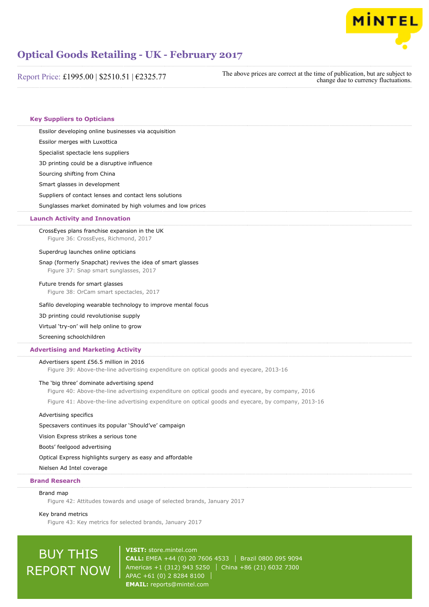

Report Price: £1995.00 | \$2510.51 | €2325.77

The above prices are correct at the time of publication, but are subject to change due to currency fluctuations.

# **Key Suppliers to Opticians**

Essilor developing online businesses via acquisition

Essilor merges with Luxottica

Specialist spectacle lens suppliers

3D printing could be a disruptive influence

Sourcing shifting from China

Smart glasses in development

Suppliers of contact lenses and contact lens solutions

Sunglasses market dominated by high volumes and low prices

# **Launch Activity and Innovation**

CrossEyes plans franchise expansion in the UK Figure 36: CrossEyes, Richmond, 2017

#### Superdrug launches online opticians

#### Snap (formerly Snapchat) revives the idea of smart glasses

Figure 37: Snap smart sunglasses, 2017

#### Future trends for smart glasses

Figure 38: OrCam smart spectacles, 2017

## Safilo developing wearable technology to improve mental focus

3D printing could revolutionise supply

Virtual 'try-on' will help online to grow

Screening schoolchildren

# **Advertising and Marketing Activity**

## Advertisers spent £56.5 million in 2016

Figure 39: Above-the-line advertising expenditure on optical goods and eyecare, 2013-16

# The 'big three' dominate advertising spend

Figure 40: Above-the-line advertising expenditure on optical goods and eyecare, by company, 2016

Figure 41: Above-the-line advertising expenditure on optical goods and eyecare, by company, 2013-16

# Advertising specifics

Specsavers continues its popular 'Should've' campaign

Vision Express strikes a serious tone

Boots' feelgood advertising

Optical Express highlights surgery as easy and affordable

Nielsen Ad Intel coverage

# **Brand Research**

# Brand map

Figure 42: Attitudes towards and usage of selected brands, January 2017

#### Key brand metrics

Figure 43: Key metrics for selected brands, January 2017

# BUY THIS REPORT NOW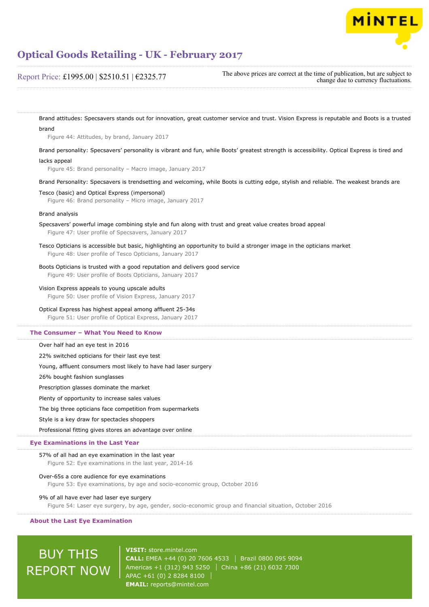

Report Price: £1995.00 | \$2510.51 | €2325.77

The above prices are correct at the time of publication, but are subject to change due to currency fluctuations.

Brand attitudes: Specsavers stands out for innovation, great customer service and trust. Vision Express is reputable and Boots is a trusted brand

Figure 44: Attitudes, by brand, January 2017

Brand personality: Specsavers' personality is vibrant and fun, while Boots' greatest strength is accessibility. Optical Express is tired and

# lacks appeal

Figure 45: Brand personality – Macro image, January 2017

Brand Personality: Specsavers is trendsetting and welcoming, while Boots is cutting edge, stylish and reliable. The weakest brands are

# Tesco (basic) and Optical Express (impersonal)

Figure 46: Brand personality – Micro image, January 2017

# Brand analysis

Specsavers' powerful image combining style and fun along with trust and great value creates broad appeal Figure 47: User profile of Specsavers, January 2017

Tesco Opticians is accessible but basic, highlighting an opportunity to build a stronger image in the opticians market Figure 48: User profile of Tesco Opticians, January 2017

# Boots Opticians is trusted with a good reputation and delivers good service

Figure 49: User profile of Boots Opticians, January 2017

# Vision Express appeals to young upscale adults

Figure 50: User profile of Vision Express, January 2017

# Optical Express has highest appeal among affluent 25-34s

Figure 51: User profile of Optical Express, January 2017

#### **The Consumer – What You Need to Know**

Over half had an eye test in 2016

22% switched opticians for their last eye test

Young, affluent consumers most likely to have had laser surgery

26% bought fashion sunglasses

Prescription glasses dominate the market

Plenty of opportunity to increase sales values

The big three opticians face competition from supermarkets

Style is a key draw for spectacles shoppers

Professional fitting gives stores an advantage over online

# **Eye Examinations in the Last Year**

# 57% of all had an eye examination in the last year

Figure 52: Eye examinations in the last year, 2014-16

# Over-65s a core audience for eye examinations

Figure 53: Eye examinations, by age and socio-economic group, October 2016

#### 9% of all have ever had laser eye surgery

Figure 54: Laser eye surgery, by age, gender, socio-economic group and financial situation, October 2016

### **About the Last Eye Examination**

# BUY THIS REPORT NOW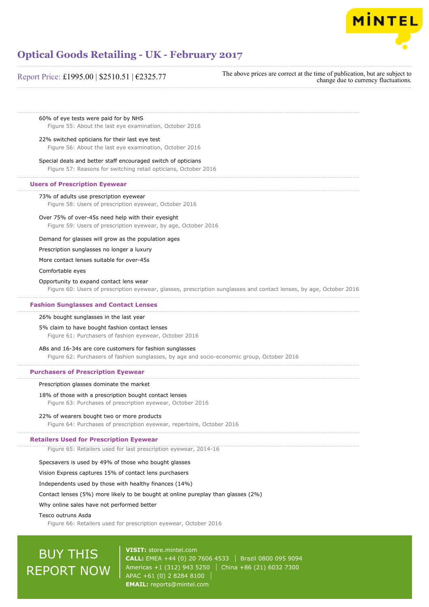

# Report Price: £1995.00 | \$2510.51 | €2325.77

The above prices are correct at the time of publication, but are subject to change due to currency fluctuations.

60% of eye tests were paid for by NHS Figure 55: About the last eye examination, October 2016

## 22% switched opticians for their last eye test

Figure 56: About the last eye examination, October 2016

Special deals and better staff encouraged switch of opticians Figure 57: Reasons for switching retail opticians, October 2016

# **Users of Prescription Eyewear**

# 73% of adults use prescription eyewear

Figure 58: Users of prescription eyewear, October 2016

# Over 75% of over-45s need help with their eyesight

Figure 59: Users of prescription eyewear, by age, October 2016

Demand for glasses will grow as the population ages

# Prescription sunglasses no longer a luxury

More contact lenses suitable for over-45s

Comfortable eyes

#### Opportunity to expand contact lens wear

Figure 60: Users of prescription eyewear, glasses, prescription sunglasses and contact lenses, by age, October 2016

## **Fashion Sunglasses and Contact Lenses**

#### 26% bought sunglasses in the last year

# 5% claim to have bought fashion contact lenses

Figure 61: Purchasers of fashion eyewear, October 2016

#### ABs and 16-34s are core customers for fashion sunglasses

Figure 62: Purchasers of fashion sunglasses, by age and socio-economic group, October 2016

# **Purchasers of Prescription Eyewear**

#### Prescription glasses dominate the market

18% of those with a prescription bought contact lenses

Figure 63: Purchases of prescription eyewear, October 2016

# 22% of wearers bought two or more products

Figure 64: Purchases of prescription eyewear, repertoire, October 2016

# **Retailers Used for Prescription Eyewear**

Figure 65: Retailers used for last prescription eyewear, 2014-16

## Specsavers is used by 49% of those who bought glasses

Vision Express captures 15% of contact lens purchasers

Independents used by those with healthy finances (14%)

# Contact lenses (5%) more likely to be bought at online pureplay than glasses (2%)

Why online sales have not performed better

#### Tesco outruns Asda

Figure 66: Retailers used for prescription eyewear, October 2016

# BUY THIS REPORT NOW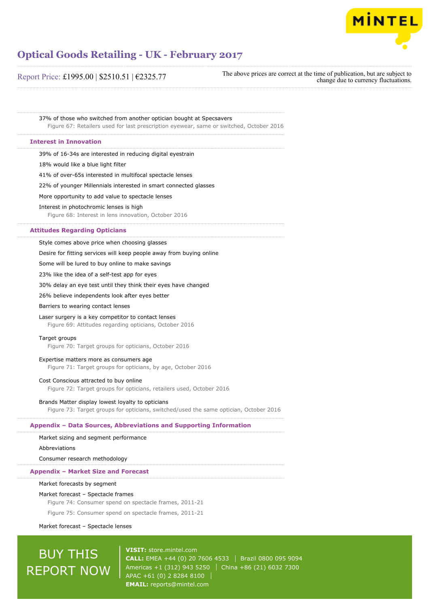

Report Price: £1995.00 | \$2510.51 | €2325.77

The above prices are correct at the time of publication, but are subject to change due to currency fluctuations.

37% of those who switched from another optician bought at Specsavers Figure 67: Retailers used for last prescription eyewear, same or switched, October 2016

## **Interest in Innovation**

39% of 16-34s are interested in reducing digital eyestrain

18% would like a blue light filter

41% of over-65s interested in multifocal spectacle lenses

22% of younger Millennials interested in smart connected glasses

More opportunity to add value to spectacle lenses

#### Interest in photochromic lenses is high

Figure 68: Interest in lens innovation, October 2016

## **Attitudes Regarding Opticians**

Style comes above price when choosing glasses

Desire for fitting services will keep people away from buying online

Some will be lured to buy online to make savings

23% like the idea of a self-test app for eyes

30% delay an eye test until they think their eyes have changed

26% believe independents look after eyes better

Barriers to wearing contact lenses

#### Laser surgery is a key competitor to contact lenses

Figure 69: Attitudes regarding opticians, October 2016

### Target groups

Figure 70: Target groups for opticians, October 2016

# Expertise matters more as consumers age

Figure 71: Target groups for opticians, by age, October 2016

#### Cost Conscious attracted to buy online

Figure 72: Target groups for opticians, retailers used, October 2016

### Brands Matter display lowest loyalty to opticians

Figure 73: Target groups for opticians, switched/used the same optician, October 2016

## **Appendix – Data Sources, Abbreviations and Supporting Information**

## Market sizing and segment performance

#### Abbreviations

Consumer research methodology

#### **Appendix – Market Size and Forecast**

#### Market forecasts by segment

#### Market forecast – Spectacle frames

Figure 74: Consumer spend on spectacle frames, 2011-21

Figure 75: Consumer spend on spectacle frames, 2011-21

Market forecast – Spectacle lenses

# BUY THIS REPORT NOW